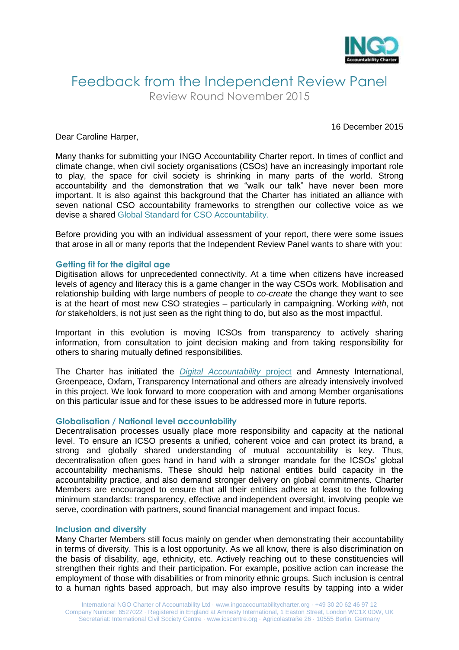

## Feedback from the Independent Review Panel Review Round November 2015

#### Dear Caroline Harper,

16 December 2015

Many thanks for submitting your INGO Accountability Charter report. In times of conflict and climate change, when civil society organisations (CSOs) have an increasingly important role to play, the space for civil society is shrinking in many parts of the world. Strong accountability and the demonstration that we "walk our talk" have never been more important. It is also against this background that the Charter has initiated an alliance with seven national CSO accountability frameworks to strengthen our collective voice as we devise a shared [Global Standard for CSO Accountability.](http://www.ingoaccountabilitycharter.org/global-standard-for-cso-accountability/)

Before providing you with an individual assessment of your report, there were some issues that arose in all or many reports that the Independent Review Panel wants to share with you:

#### **Getting fit for the digital age**

Digitisation allows for unprecedented connectivity. At a time when citizens have increased levels of agency and literacy this is a game changer in the way CSOs work. Mobilisation and relationship building with large numbers of people to *co-create* the change they want to see is at the heart of most new CSO strategies – particularly in campaigning. Working *with*, not *for* stakeholders, is not just seen as the right thing to do, but also as the most impactful.

Important in this evolution is moving ICSOs from transparency to actively sharing information, from consultation to joint decision making and from taking responsibility for others to sharing mutually defined responsibilities.

The Charter has initiated the *[Digital Accountability](http://www.ingoaccountabilitycharter.org/cso-accountability-in-the-digital-age/)* project and Amnesty International, Greenpeace, Oxfam, Transparency International and others are already intensively involved in this project. We look forward to more cooperation with and among Member organisations on this particular issue and for these issues to be addressed more in future reports.

#### **Globalisation / National level accountability**

Decentralisation processes usually place more responsibility and capacity at the national level. To ensure an ICSO presents a unified, coherent voice and can protect its brand, a strong and globally shared understanding of mutual accountability is key. Thus, decentralisation often goes hand in hand with a stronger mandate for the ICSOs' global accountability mechanisms. These should help national entities build capacity in the accountability practice, and also demand stronger delivery on global commitments. Charter Members are encouraged to ensure that all their entities adhere at least to the following minimum standards: transparency, effective and independent oversight, involving people we serve, coordination with partners, sound financial management and impact focus.

#### **Inclusion and diversity**

Many Charter Members still focus mainly on gender when demonstrating their accountability in terms of diversity. This is a lost opportunity. As we all know, there is also discrimination on the basis of disability, age, ethnicity, etc. Actively reaching out to these constituencies will strengthen their rights and their participation. For example, positive action can increase the employment of those with disabilities or from minority ethnic groups. Such inclusion is central to a human rights based approach, but may also improve results by tapping into a wider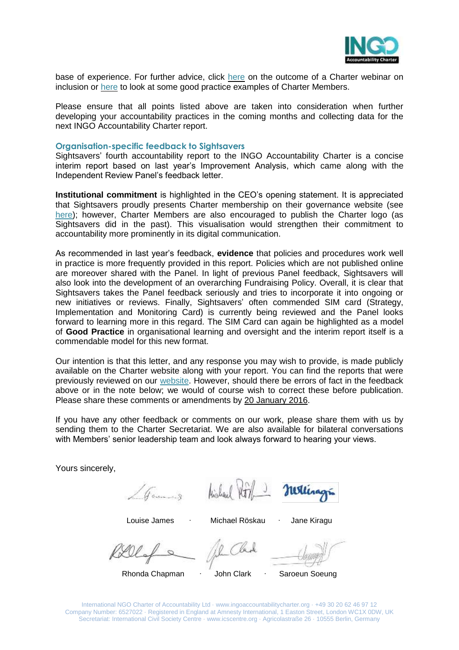

base of experience. For further advice, click [here](http://www.ingoaccountabilitycharter.org/wpcms/wp-content/uploads/14-06-06-Inclusion-Webinar-Summary.pdf) on the outcome of a Charter webinar on inclusion or [here](http://www.ingoaccountabilitycharter.org/good-practice/) to look at some good practice examples of Charter Members.

Please ensure that all points listed above are taken into consideration when further developing your accountability practices in the coming months and collecting data for the next INGO Accountability Charter report.

#### **Organisation-specific feedback to Sightsavers**

Sightsavers' fourth accountability report to the INGO Accountability Charter is a concise interim report based on last year's Improvement Analysis, which came along with the Independent Review Panel's feedback letter.

**Institutional commitment** is highlighted in the CEO's opening statement. It is appreciated that Sightsavers proudly presents Charter membership on their governance website (see [here\)](http://www.sightsavers.org/about-us/governance/); however, Charter Members are also encouraged to publish the Charter logo (as Sightsavers did in the past). This visualisation would strengthen their commitment to accountability more prominently in its digital communication.

As recommended in last year's feedback, **evidence** that policies and procedures work well in practice is more frequently provided in this report. Policies which are not published online are moreover shared with the Panel. In light of previous Panel feedback, Sightsavers will also look into the development of an overarching Fundraising Policy. Overall, it is clear that Sightsavers takes the Panel feedback seriously and tries to incorporate it into ongoing or new initiatives or reviews. Finally, Sightsavers' often commended SIM card (Strategy, Implementation and Monitoring Card) is currently being reviewed and the Panel looks forward to learning more in this regard. The SIM Card can again be highlighted as a model of **Good Practice** in organisational learning and oversight and the interim report itself is a commendable model for this new format.

Our intention is that this letter, and any response you may wish to provide, is made publicly available on the Charter website along with your report. You can find the reports that were previously reviewed on our [website.](http://www.ingoaccountabilitycharter.org/home/charter-members/) However, should there be errors of fact in the feedback above or in the note below; we would of course wish to correct these before publication. Please share these comments or amendments by 20 January 2016.

If you have any other feedback or comments on our work, please share them with us by sending them to the Charter Secretariat. We are also available for bilateral conversations with Members' senior leadership team and look always forward to hearing your views.

Yours sincerely,

Games

Hickord 1/3

Louise James ∙ Michael Röskau ∙ Jane Kiragu

Rhonda Chapman ∙ John Clark ∙ Saroeun Soeung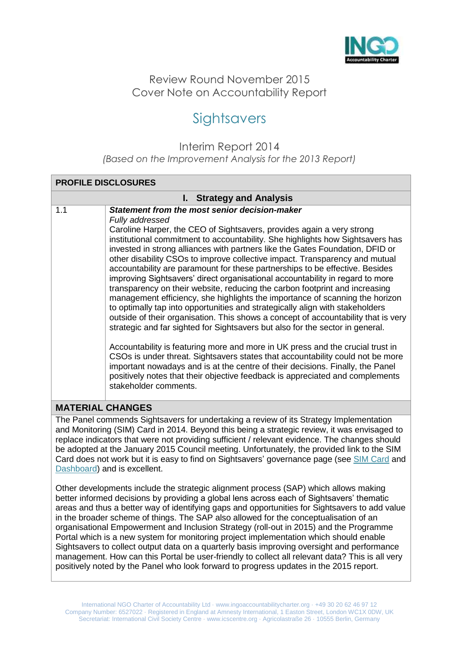

Review Round November 2015 Cover Note on Accountability Report

# **Sightsavers**

Interim Report 2014 *(Based on the Improvement Analysis for the 2013 Report)*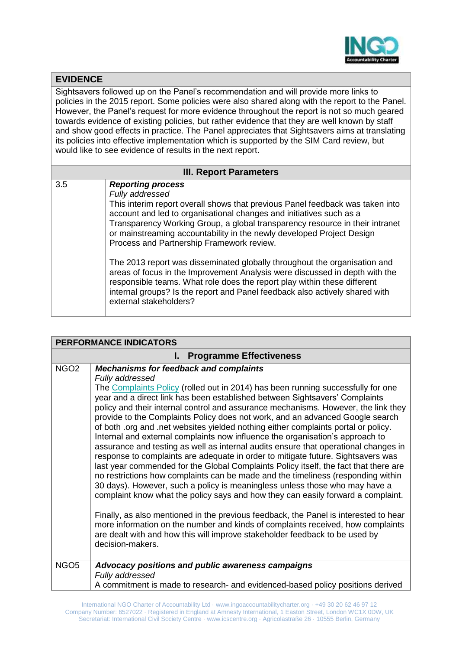

### **EVIDENCE** Sightsavers followed up on the Panel's recommendation and will provide more links to policies in the 2015 report. Some policies were also shared along with the report to the Panel. However, the Panel's request for more evidence throughout the report is not so much geared towards evidence of existing policies, but rather evidence that they are well known by staff and show good effects in practice. The Panel appreciates that Sightsavers aims at translating its policies into effective implementation which is supported by the SIM Card review, but would like to see evidence of results in the next report. **III. Report Parameters** 3.5 *Reporting process Fully addressed* This interim report overall shows that previous Panel feedback was taken into account and led to organisational changes and initiatives such as a Transparency Working Group, a global transparency resource in their intranet or mainstreaming accountability in the newly developed Project Design Process and Partnership Framework review. The 2013 report was disseminated globally throughout the organisation and areas of focus in the Improvement Analysis were discussed in depth with the responsible teams. What role does the report play within these different internal groups? Is the report and Panel feedback also actively shared with external stakeholders?

| <b>PERFORMANCE INDICATORS</b>  |                                                                                                                                                                                                                                                                                                                                                                                                                                                                                                                                                                                                                                                                                                                                                                                                                                                                                                                                                                                                                                                                                                                                                                                                                                                                                                                                                                                           |  |
|--------------------------------|-------------------------------------------------------------------------------------------------------------------------------------------------------------------------------------------------------------------------------------------------------------------------------------------------------------------------------------------------------------------------------------------------------------------------------------------------------------------------------------------------------------------------------------------------------------------------------------------------------------------------------------------------------------------------------------------------------------------------------------------------------------------------------------------------------------------------------------------------------------------------------------------------------------------------------------------------------------------------------------------------------------------------------------------------------------------------------------------------------------------------------------------------------------------------------------------------------------------------------------------------------------------------------------------------------------------------------------------------------------------------------------------|--|
| <b>Programme Effectiveness</b> |                                                                                                                                                                                                                                                                                                                                                                                                                                                                                                                                                                                                                                                                                                                                                                                                                                                                                                                                                                                                                                                                                                                                                                                                                                                                                                                                                                                           |  |
| NGO <sub>2</sub>               | <b>Mechanisms for feedback and complaints</b><br>Fully addressed<br>The Complaints Policy (rolled out in 2014) has been running successfully for one<br>year and a direct link has been established between Sightsavers' Complaints<br>policy and their internal control and assurance mechanisms. However, the link they<br>provide to the Complaints Policy does not work, and an advanced Google search<br>of both .org and .net websites yielded nothing either complaints portal or policy.<br>Internal and external complaints now influence the organisation's approach to<br>assurance and testing as well as internal audits ensure that operational changes in<br>response to complaints are adequate in order to mitigate future. Sightsavers was<br>last year commended for the Global Complaints Policy itself, the fact that there are<br>no restrictions how complaints can be made and the timeliness (responding within<br>30 days). However, such a policy is meaningless unless those who may have a<br>complaint know what the policy says and how they can easily forward a complaint.<br>Finally, as also mentioned in the previous feedback, the Panel is interested to hear<br>more information on the number and kinds of complaints received, how complaints<br>are dealt with and how this will improve stakeholder feedback to be used by<br>decision-makers. |  |
| NGO <sub>5</sub>               | Advocacy positions and public awareness campaigns<br>Fully addressed<br>A commitment is made to research- and evidenced-based policy positions derived                                                                                                                                                                                                                                                                                                                                                                                                                                                                                                                                                                                                                                                                                                                                                                                                                                                                                                                                                                                                                                                                                                                                                                                                                                    |  |